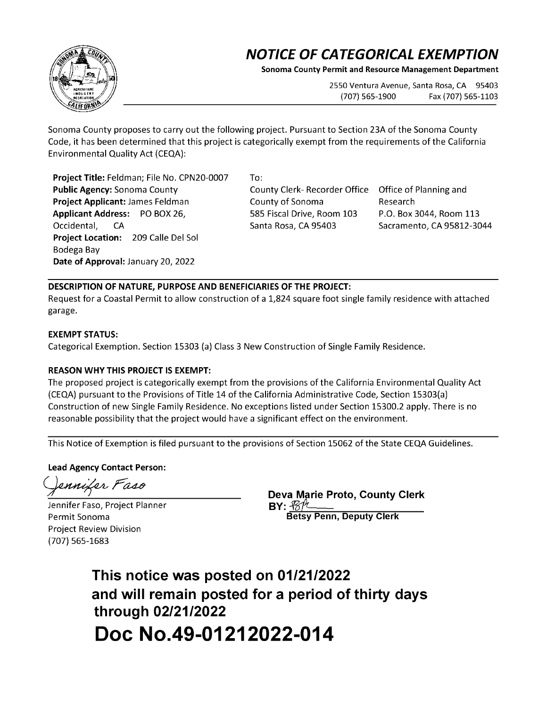## **NOTICE OF CATEGORICAL EXEMPTION**

**Sonoma County Permit and Resource Management Department** 

2550 Ventura Avenue, Santa Rosa, CA 95403 (707) 565-1900 Fax (707) 565-1103

Sonoma County proposes to carry out the following project. Pursuant to Section 23A of the Sonoma County Code, it has been determined that this project is categorically exempt from the requirements of the California Environmental Quality Act {CEQA):

**Project Title:** Feldman; File No. CPN20-0007 **Public Agency:** Sonoma County **Project Applicant:** James Feldman **Applicant Address:** PO BOX 26, Occidental, CA **Project Location:** 209 Calle Del Sol Bodega Bay **Date of Approval:** January 20, 2022

To:

County Clerk- Recorder Office County of Sonoma 585 Fiscal Drive, Room 103 Santa Rosa, CA 95403

Office of Planning and Research P.O. Box 3044, Room 113 Sacramento, CA 95812-3044

## **DESCRIPTION OF NATURE, PURPOSE AND BENEFICIARIES OF THE PROJECT:**

Request for a Coastal Permit to allow construction of a 1,824 square foot single family residence with attached garage.

## **EXEMPT STATUS:**

Categorical Exemption. Section 15303 {a) Class 3 New Construction of Single Family Residence.

## **REASON WHY THIS PROJECT IS EXEMPT:**

The proposed project is categorically exempt from the provisions of the California Environmental Quality Act {CEQA) pursuant to the Provisions of Title 14 of the California Administrative Code, Section 15303{a) Construction of new Single Family Residence. No exceptions listed under Section 15300.2 apply. There is no reasonable possibility that the project would have a significant effect on the environment.

This Notice of Exemption is filed pursuant to the provisions of Section 15062 of the State CEQA Guidelines.

**Lead Agency Contact Person:** 

ennifer Faso

Jennifer Faso, Project Planner Permit Sonoma Project Review Division {707) 565-1683

**Deva Marie Proto, County Clerk BY:~ Betsy Penn, Deputy Clerk** 

**This notice was posted on 01/21/2022 and will remain posted for a period of thirty days through 02/21/2022 Doc No.49-01212022-014**